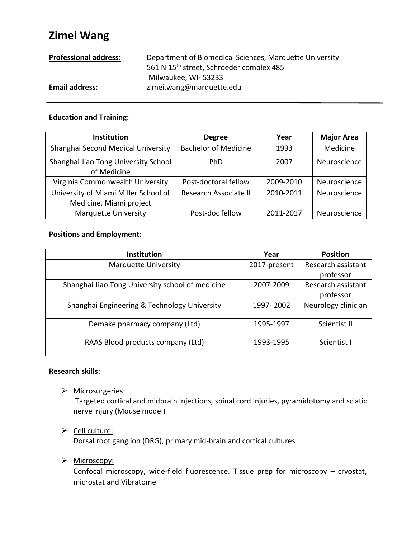# **Zimei Wang**

| <b>Professional address:</b> | Department of Biomedical Sciences, Marquette University |  |  |
|------------------------------|---------------------------------------------------------|--|--|
|                              | 561 N 15 <sup>th</sup> street, Schroeder complex 485    |  |  |
|                              | Milwaukee, WI-53233                                     |  |  |
| <b>Email address:</b>        | zimei.wang@marquette.edu                                |  |  |

# **Education and Training:**

| <b>Institution</b>                                              | <b>Degree</b>               | Year      | <b>Major Area</b> |
|-----------------------------------------------------------------|-----------------------------|-----------|-------------------|
| Shanghai Second Medical University                              | <b>Bachelor of Medicine</b> | 1993      | Medicine          |
| Shanghai Jiao Tong University School<br>of Medicine             | <b>PhD</b>                  | 2007      | Neuroscience      |
| Virginia Commonwealth University                                | Post-doctoral fellow        | 2009-2010 | Neuroscience      |
| University of Miami Miller School of<br>Medicine, Miami project | Research Associate II       | 2010-2011 | Neuroscience      |
| <b>Marquette University</b>                                     | Post-doc fellow             | 2011-2017 | Neuroscience      |

# **Positions and Employment:**

| <b>Institution</b>                               | Year         | <b>Position</b>     |
|--------------------------------------------------|--------------|---------------------|
| <b>Marquette University</b>                      | 2017-present | Research assistant  |
|                                                  |              | professor           |
| Shanghai Jiao Tong University school of medicine | 2007-2009    | Research assistant  |
|                                                  |              | professor           |
| Shanghai Engineering & Technology University     | 1997-2002    | Neurology clinician |
| Demake pharmacy company (Ltd)                    | 1995-1997    | Scientist II        |
| RAAS Blood products company (Ltd)                | 1993-1995    | Scientist I         |

## **Research skills:**

> Microsurgeries:

Targeted cortical and midbrain injections, spinal cord injuries, pyramidotomy and sciatic nerve injury (Mouse model)

## $\triangleright$  Cell culture:

Dorsal root ganglion (DRG), primary mid-brain and cortical cultures

# > Microscopy:

Confocal microscopy, wide-field fluorescence. Tissue prep for microscopy – cryostat, microstat and Vibratome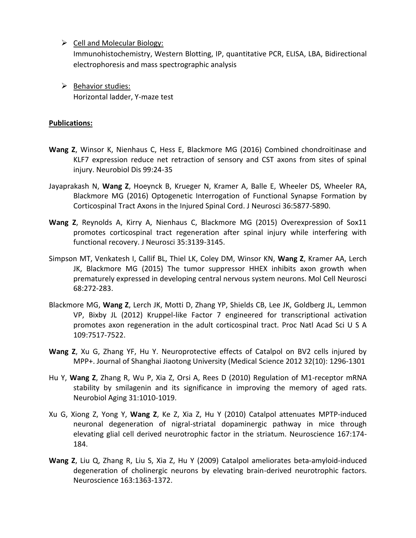$\triangleright$  Cell and Molecular Biology:

Immunohistochemistry, Western Blotting, IP, quantitative PCR, ELISA, LBA, Bidirectional electrophoresis and mass spectrographic analysis

 $\triangleright$  Behavior studies: Horizontal ladder, Y-maze test

# **Publications:**

- **Wang Z**, Winsor K, Nienhaus C, Hess E, Blackmore MG (2016) Combined chondroitinase and KLF7 expression reduce net retraction of sensory and CST axons from sites of spinal injury. Neurobiol Dis 99:24-35
- Jayaprakash N, **Wang Z**, Hoeynck B, Krueger N, Kramer A, Balle E, Wheeler DS, Wheeler RA, Blackmore MG (2016) Optogenetic Interrogation of Functional Synapse Formation by Corticospinal Tract Axons in the Injured Spinal Cord. J Neurosci 36:5877-5890.
- **Wang Z**, Reynolds A, Kirry A, Nienhaus C, Blackmore MG (2015) Overexpression of Sox11 promotes corticospinal tract regeneration after spinal injury while interfering with functional recovery. J Neurosci 35:3139-3145.
- Simpson MT, Venkatesh I, Callif BL, Thiel LK, Coley DM, Winsor KN, **Wang Z**, Kramer AA, Lerch JK, Blackmore MG (2015) The tumor suppressor HHEX inhibits axon growth when prematurely expressed in developing central nervous system neurons. Mol Cell Neurosci 68:272-283.
- Blackmore MG, **Wang Z**, Lerch JK, Motti D, Zhang YP, Shields CB, Lee JK, Goldberg JL, Lemmon VP, Bixby JL (2012) Kruppel-like Factor 7 engineered for transcriptional activation promotes axon regeneration in the adult corticospinal tract. Proc Natl Acad Sci U S A 109:7517-7522.
- **Wang Z**, Xu G, Zhang YF, Hu Y. Neuroprotective effects of Catalpol on BV2 cells injured by MPP+. Journal of Shanghai Jiaotong University (Medical Science 2012 32(10): 1296-1301
- Hu Y, **Wang Z**, Zhang R, Wu P, Xia Z, Orsi A, Rees D (2010) Regulation of M1-receptor mRNA stability by smilagenin and its significance in improving the memory of aged rats. Neurobiol Aging 31:1010-1019.
- Xu G, Xiong Z, Yong Y, **Wang Z**, Ke Z, Xia Z, Hu Y (2010) Catalpol attenuates MPTP-induced neuronal degeneration of nigral-striatal dopaminergic pathway in mice through elevating glial cell derived neurotrophic factor in the striatum. Neuroscience 167:174- 184.
- **Wang Z**, Liu Q, Zhang R, Liu S, Xia Z, Hu Y (2009) Catalpol ameliorates beta-amyloid-induced degeneration of cholinergic neurons by elevating brain-derived neurotrophic factors. Neuroscience 163:1363-1372.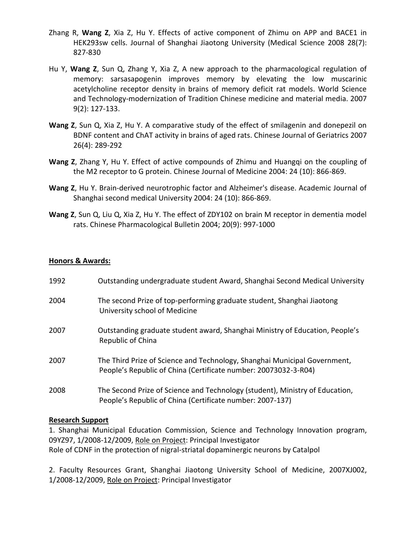- [Zhang R,](http://caod.oriprobe.com/articles/found.htm?key_author=zhang+rui+) **[Wang Z](http://caod.oriprobe.com/articles/found.htm?key_author=+wang+zi+mei+)**, [Xia Z,](http://caod.oriprobe.com/articles/found.htm?key_author=+xia+zong+qin+) [Hu Y.](http://caod.oriprobe.com/articles/found.htm?key_author=+hu+ya+er+) Effects of active component of Zhimu on APP and BACE1 in HEK293sw cells. Journal of Shanghai Jiaotong University (Medical Science 2008 28(7): 827-830
- [Hu Y,](http://caod.oriprobe.com/articles/found.htm?key_author=HU+Ya-er) **[Wang Z](http://caod.oriprobe.com/articles/found.htm?key_author=WANG+Zi-mei)**, [Sun Q,](http://caod.oriprobe.com/articles/found.htm?key_author=SUN+Qi-xiang) Zhang Y, [Xia](http://caod.oriprobe.com/articles/found.htm?key_author=XIA+Zong-qin) Z, A new approach to the pharmacological regulation of memory: sarsasapogenin improves memory by elevating the low muscarinic acetylcholine receptor density in brains of memory deficit rat models. World Science and Technology-modernization of Tradition Chinese medicine and material media. 2007 9(2): 127-133.
- **[Wang Z](http://caod.oriprobe.com/articles/found.htm?key_author=WANG+Zi-mei)**, [Sun Q,](http://caod.oriprobe.com/articles/found.htm?key_author=SUN+Qi-xiang) [Xia Z,](http://caod.oriprobe.com/articles/found.htm?key_author=XIA+Zong-qin) [Hu Y.](http://caod.oriprobe.com/articles/found.htm?key_author=HU+Ya-er) A comparative study of the effect of smilagenin and donepezil on BDNF content and ChAT activity in brains of aged rats. Chinese Journal of Geriatrics 2007 26(4): 289-292
- **Wang Z**, Zhang Y, Hu Y. Effect of active compounds of Zhimu and Huangqi on the coupling of the M2 receptor to G protein. Chinese Journal of Medicine 2004: 24 (10): 866-869.
- **Wang Z**, Hu Y. Brain-derived neurotrophic factor and Alzheimer's disease. Academic Journal of Shanghai second medical University 2004: 24 (10): 866-869.
- **[Wang Z](http://caod.oriprobe.com/articles/found.htm?key_author=WANG+Zi-mei)**, [Sun Q,](http://caod.oriprobe.com/articles/found.htm?key_author=SUN+Qi-xiang) Liu Q, Xia Z, [Hu Y.](http://caod.oriprobe.com/articles/found.htm?key_author=HU+Ya-er) The effect of ZDY102 on brain M receptor in dementia model rats. Chinese Pharmacological Bulletin 2004; 20(9): 997-1000

### **Honors & Awards:**

| 1992 | Outstanding undergraduate student Award, Shanghai Second Medical University                                                                  |
|------|----------------------------------------------------------------------------------------------------------------------------------------------|
| 2004 | The second Prize of top-performing graduate student, Shanghai Jiaotong<br>University school of Medicine                                      |
| 2007 | Outstanding graduate student award, Shanghai Ministry of Education, People's<br>Republic of China                                            |
| 2007 | The Third Prize of Science and Technology, Shanghai Municipal Government,<br>People's Republic of China (Certificate number: 20073032-3-R04) |
| 2008 | The Second Prize of Science and Technology (student), Ministry of Education,<br>People's Republic of China (Certificate number: 2007-137)    |

### **Research Support**

1. Shanghai Municipal Education Commission, Science and Technology Innovation program, 09YZ97, 1/2008-12/2009, Role on Project: Principal Investigator Role of CDNF in the protection of nigral-striatal dopaminergic neurons by Catalpol

2. Faculty Resources Grant, Shanghai Jiaotong University School of Medicine, 2007XJ002, 1/2008-12/2009, Role on Project: Principal Investigator